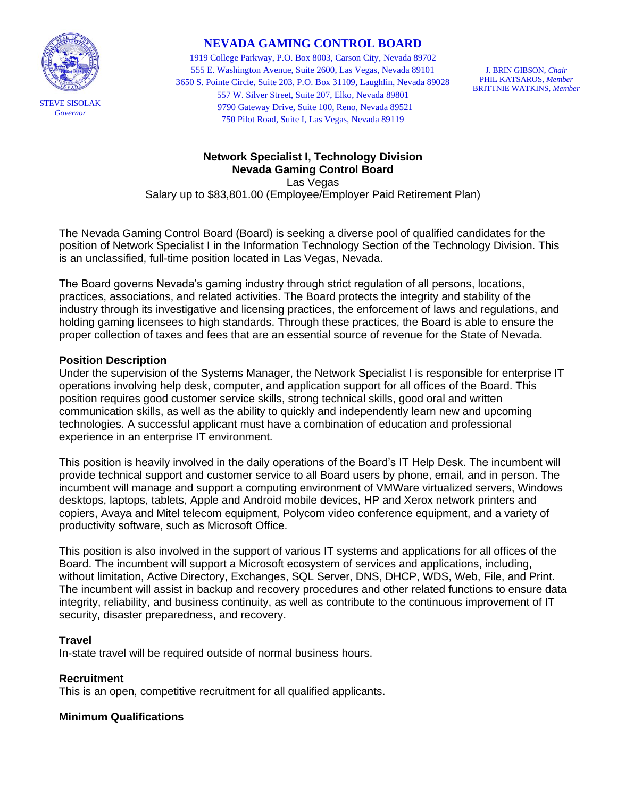

# **NEVADA GAMING CONTROL BOARD**

1919 College Parkway, P.O. Box 8003, Carson City, Nevada 89702 555 E. Washington Avenue, Suite 2600, Las Vegas, Nevada 89101 3650 S. Pointe Circle, Suite 203, P.O. Box 31109, Laughlin, Nevada 89028 557 W. Silver Street, Suite 207, Elko, Nevada 89801 9790 Gateway Drive, Suite 100, Reno, Nevada 89521 750 Pilot Road, Suite I, Las Vegas, Nevada 89119

J. BRIN GIBSON, *Chair* PHIL KATSAROS, *Member* BRITTNIE WATKINS, *Member*

# **Network Specialist I, Technology Division Nevada Gaming Control Board** Las Vegas Salary up to \$83,801.00 (Employee/Employer Paid Retirement Plan)

The Nevada Gaming Control Board (Board) is seeking a diverse pool of qualified candidates for the position of Network Specialist I in the Information Technology Section of the Technology Division. This is an unclassified, full-time position located in Las Vegas, Nevada.

The Board governs Nevada's gaming industry through strict regulation of all persons, locations, practices, associations, and related activities. The Board protects the integrity and stability of the industry through its investigative and licensing practices, the enforcement of laws and regulations, and holding gaming licensees to high standards. Through these practices, the Board is able to ensure the proper collection of taxes and fees that are an essential source of revenue for the State of Nevada.

### **Position Description**

Under the supervision of the Systems Manager, the Network Specialist I is responsible for enterprise IT operations involving help desk, computer, and application support for all offices of the Board. This position requires good customer service skills, strong technical skills, good oral and written communication skills, as well as the ability to quickly and independently learn new and upcoming technologies. A successful applicant must have a combination of education and professional experience in an enterprise IT environment.

This position is heavily involved in the daily operations of the Board's IT Help Desk. The incumbent will provide technical support and customer service to all Board users by phone, email, and in person. The incumbent will manage and support a computing environment of VMWare virtualized servers, Windows desktops, laptops, tablets, Apple and Android mobile devices, HP and Xerox network printers and copiers, Avaya and Mitel telecom equipment, Polycom video conference equipment, and a variety of productivity software, such as Microsoft Office.

This position is also involved in the support of various IT systems and applications for all offices of the Board. The incumbent will support a Microsoft ecosystem of services and applications, including, without limitation, Active Directory, Exchanges, SQL Server, DNS, DHCP, WDS, Web, File, and Print. The incumbent will assist in backup and recovery procedures and other related functions to ensure data integrity, reliability, and business continuity, as well as contribute to the continuous improvement of IT security, disaster preparedness, and recovery.

#### **Travel**

In-state travel will be required outside of normal business hours.

# **Recruitment**

This is an open, competitive recruitment for all qualified applicants.

# **Minimum Qualifications**